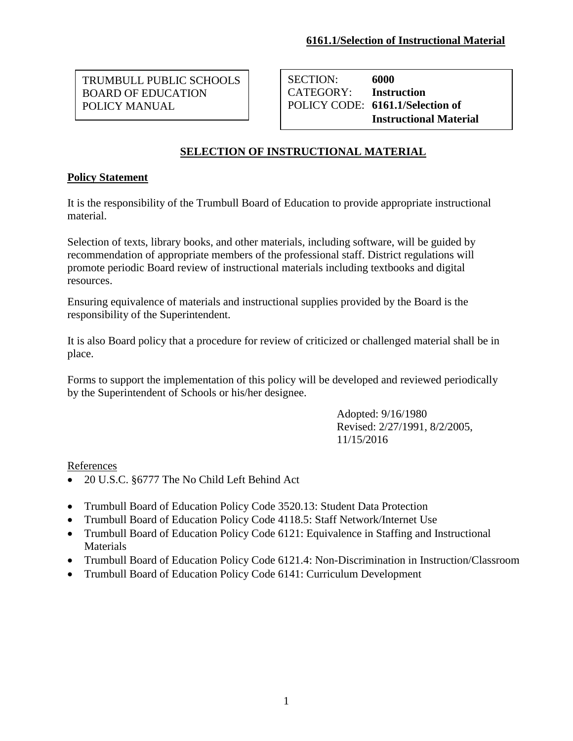BOARD OF EDUCATION TRUMBULL PUBLIC SCHOOLS POLICY MANUAL

SECTION: **6000** CATEGORY: **Instruction** POLICY CODE: **6161.1/Selection of Instructional Material**

## **SELECTION OF INSTRUCTIONAL MATERIAL**

## **Policy Statement**

It is the responsibility of the Trumbull Board of Education to provide appropriate instructional material.

Selection of texts, library books, and other materials, including software, will be guided by recommendation of appropriate members of the professional staff. District regulations will promote periodic Board review of instructional materials including textbooks and digital resources.

Ensuring equivalence of materials and instructional supplies provided by the Board is the responsibility of the Superintendent.

It is also Board policy that a procedure for review of criticized or challenged material shall be in place.

Forms to support the implementation of this policy will be developed and reviewed periodically by the Superintendent of Schools or his/her designee.

> Adopted: 9/16/1980 Revised: 2/27/1991, 8/2/2005, 11/15/2016

References

- 20 U.S.C. §6777 The No Child Left Behind Act
- Trumbull Board of Education Policy Code 3520.13: Student Data Protection
- Trumbull Board of Education Policy Code 4118.5: Staff Network/Internet Use
- Trumbull Board of Education Policy Code 6121: Equivalence in Staffing and Instructional Materials
- Trumbull Board of Education Policy Code 6121.4: Non-Discrimination in Instruction/Classroom
- Trumbull Board of Education Policy Code 6141: Curriculum Development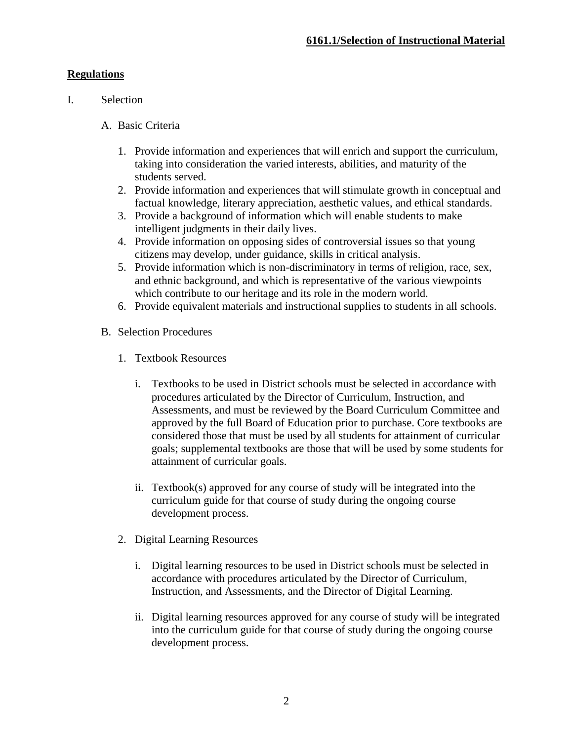## **Regulations**

- I. Selection
	- A. Basic Criteria
		- 1. Provide information and experiences that will enrich and support the curriculum, taking into consideration the varied interests, abilities, and maturity of the students served.
		- 2. Provide information and experiences that will stimulate growth in conceptual and factual knowledge, literary appreciation, aesthetic values, and ethical standards.
		- 3. Provide a background of information which will enable students to make intelligent judgments in their daily lives.
		- 4. Provide information on opposing sides of controversial issues so that young citizens may develop, under guidance, skills in critical analysis.
		- 5. Provide information which is non-discriminatory in terms of religion, race, sex, and ethnic background, and which is representative of the various viewpoints which contribute to our heritage and its role in the modern world.
		- 6. Provide equivalent materials and instructional supplies to students in all schools.
	- B. Selection Procedures
		- 1. Textbook Resources
			- i. Textbooks to be used in District schools must be selected in accordance with procedures articulated by the Director of Curriculum, Instruction, and Assessments, and must be reviewed by the Board Curriculum Committee and approved by the full Board of Education prior to purchase. Core textbooks are considered those that must be used by all students for attainment of curricular goals; supplemental textbooks are those that will be used by some students for attainment of curricular goals.
			- ii. Textbook(s) approved for any course of study will be integrated into the curriculum guide for that course of study during the ongoing course development process.
		- 2. Digital Learning Resources
			- i. Digital learning resources to be used in District schools must be selected in accordance with procedures articulated by the Director of Curriculum, Instruction, and Assessments, and the Director of Digital Learning.
			- ii. Digital learning resources approved for any course of study will be integrated into the curriculum guide for that course of study during the ongoing course development process.